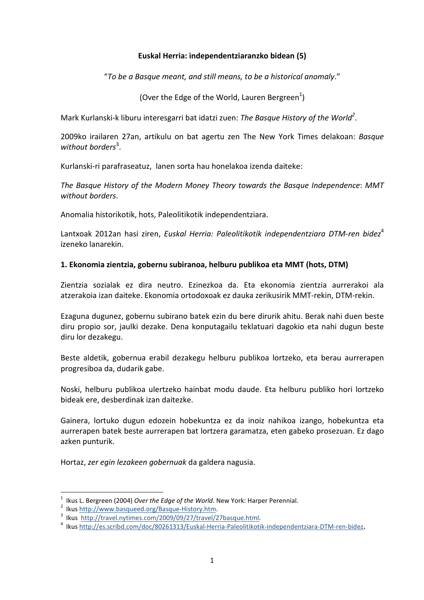### **Euskal Herria: independentziaranzko bidean (5)**

"*To be a Basque meant, and still means, to be a hist*

(Over the Edge of the World, Lauren Bergreen<sup>1</sup>)

Mark Kurlanski-k liburu interesgarri bat idatzi zuen: *The Basque History of the World<sup>2</sup>* .

**Indentziaranzko bidean (5)**<br>
Il means, to be a historical anomaly."<br>
2i zuen: The Basque History of the World<sup>2</sup>.<br>
2i zuen: The Basque History of the World<sup>2</sup>.<br>
2i zuen: The New York Times delakoan: Basque<br>
2<br>
2<br>
2<br> **Cori** 2009ko irailaren 27an, artikulu on bat agertu zen The New York Times delakoan: *Basque*  without borders<sup>3</sup>.

Kurlanski-ri parafraseatuz, lanen sorta hau honelakoa izenda daiteke:

*The Basque History of the Modern Money Theory towards the Basque Independence*: *MMT without borders*.

Anomalia historikotik, hots, Paleolitikotik independentziara.

Lantxoak 2012an hasi ziren, *Euskal Herria: Paleolitikotik independentziara DTM-ren bidez*<sup>4</sup> izeneko lanarekin.

## **1. Ekonomia zientzia, gobernu subiranoa, helburu publikoa eta MMT (hots, DTM)**

Zientzia sozialak ez dira neutro. Ezinezkoa da. Eta ekonomia zientzia aurrerakoi ala atzerakoia izan daiteke. Ekonomia ortodoxoak ez dauka zerikusirik MMT-rekin, DTM-rekin.

Ezaguna dugunez, gobernu subirano batek ezin du bere dirurik ahitu. Berak nahi duen beste diru propio sor, jaulki dezake. Dena konputagailu teklatuari dagokio eta nahi dugun beste diru lor dezakegu.

Beste aldetik, gobernua erabil dezakegu helburu publikoa lortzeko, eta berau aurrerapen progresiboa da, dudarik gabe.

Noski, helburu publikoa ulertzeko hainbat modu daude. Eta helburu publiko hori lortzeko bideak ere, desberdinak izan daitezke.

Gainera, lortuko dugun edozein hobekuntza ez da inoiz nahikoa izango, hobekuntza eta aurrerapen batek beste aurrerapen bat lortzera garamatza, eten gabeko prosezuan. Ez dago azken punturik.

Hortaz, *zer egin lezakeen gobernuak* da galdera nagusia.

l <sup>1</sup> Ikus L. Bergreen (2004) *Over the Edge of the World*. New York: Harper Perennial.

<sup>&</sup>lt;sup>2</sup> Ikus http://www.basqueed.org/Basque-History.htm.

<sup>&</sup>lt;sup>3</sup> Ikus http://travel.nytimes.com/2009/09/27/travel/27basque.html.

<sup>4</sup> Ikus http://es.scribd.com/doc/80261313/Euskal-Herria-Paleolitikotik-independentziara-DTM-ren-bidez**.**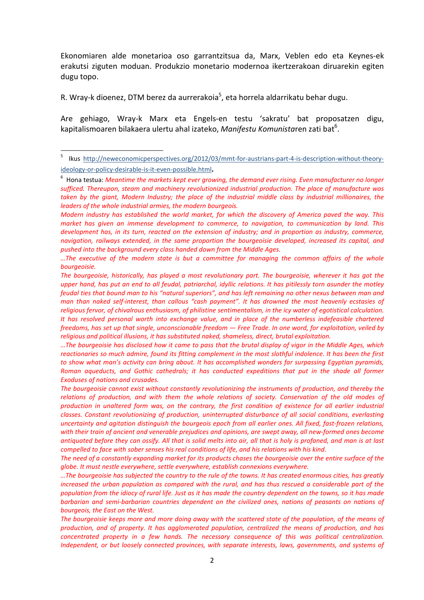Ekonomiaren alde monetarioa oso garrantzitsua da, Marx, Veblen edo eta Keynes-ek erakutsi ziguten moduan. Produkzio monetario modernoa ikertzerakoan diruarekin egiten dugu topo.

R. Wray-k dioenez, DTM berez da aurrerakoia<sup>5</sup>, eta horrela aldarrikatu behar dugu.

l

Are gehiago, Wray-k Marx eta Engels-en testu 'sakratu' bat proposatzen digu, kapitalismoaren bilakaera ulertu ahal izateko, *Manifestu Komunista*ren zati bat<sup>6</sup>.

*Modern industry has established the world market, for which the discovery of America paved the way. This market has given an immense development to commerce, to navigation, to communication by land. This development has, in its turn, reacted on the extension of industry; and in proportion as industry, commerce, navigation, railways extended, in the same proportion the bourgeoisie developed, increased its capital, and pushed into the background every class handed down from the Middle Ages.* 

*…The executive of the modern state is but a committee for managing the common affairs of the whole bourgeoisie.* 

*The bourgeoisie, historically, has played a most revolutionary part. The bourgeoisie, wherever it has got the*  upper hand, has put an end to all feudal, patriarchal, idyllic relations. It has pitilessly torn asunder the motley *feudal ties that bound man to his "natural superiors", and has left remaining no other nexus between man and man than naked self-interest, than callous "cash payment". It has drowned the most heavenly ecstasies of religious fervor, of chivalrous enthusiasm, of philistine sentimentalism, in the icy water of egotistical calculation. It has resolved personal worth into exchange value, and in place of the numberless indefeasible chartered freedoms, has set up that single, unconscionable freedom — Free Trade. In one word, for exploitation, veiled by religious and political illusions, it has substituted naked, shameless, direct, brutal exploitation.* 

*…The bourgeoisie has disclosed how it came to pass that the brutal display of vigor in the Middle Ages, which reactionaries so much admire, found its fitting complement in the most slothful indolence. It has been the first to show what man's activity can bring about. It has accomplished wonders far surpassing Egyptian pyramids, Roman aqueducts, and Gothic cathedrals; it has conducted expeditions that put in the shade all former Exoduses of nations and crusades.* 

<sup>5</sup> Ikus http://neweconomicperspectives.org/2012/03/mmt-for-austrians-part-4-is-description-without-theoryideology-or-policy-desirable-is-it-even-possible.html**.** 

<sup>6</sup> Hona testua: *Meantime the markets kept ever growing, the demand ever rising. Even manufacturer no longer sufficed. Thereupon, steam and machinery revolutionized industrial production. The place of manufacture was taken by the giant, Modern Industry; the place of the industrial middle class by industrial millionaires, the leaders of the whole industrial armies, the modern bourgeois.* 

*The bourgeoisie cannot exist without constantly revolutionizing the instruments of production, and thereby the relations of production, and with them the whole relations of society. Conservation of the old modes of production in unaltered form was, on the contrary, the first condition of existence for all earlier industrial classes. Constant revolutionizing of production, uninterrupted disturbance of all social conditions, everlasting uncertainty and agitation distinguish the bourgeois epoch from all earlier ones. All fixed, fast-frozen relations,*  with their train of ancient and venerable prejudices and opinions, are swept away, all new-formed ones become *antiquated before they can ossify. All that is solid melts into air, all that is holy is profaned, and man is at last compelled to face with sober senses his real conditions of life, and his relations with his kind.* 

*The need of a constantly expanding market for its products chases the bourgeoisie over the entire surface of the globe. It must nestle everywhere, settle everywhere, establish connexions everywhere.* 

*<sup>…</sup>The bourgeoisie has subjected the country to the rule of the towns. It has created enormous cities, has greatly increased the urban population as compared with the rural, and has thus rescued a considerable part of the population from the idiocy of rural life. Just as it has made the country dependent on the towns, so it has made*  barbarian and semi-barbarian countries dependent on the civilized ones, nations of peasants on nations of *bourgeois, the East on the West.* 

*The bourgeoisie keeps more and more doing away with the scattered state of the population, of the means of production, and of property. It has agglomerated population, centralized the means of production, and has concentrated property in a few hands. The necessary consequence of this was political centralization. Independent, or but loosely connected provinces, with separate interests, laws, governments, and systems of*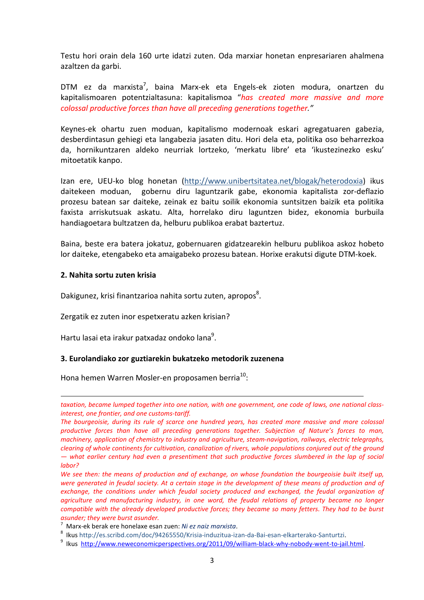Testu hori orain dela 160 urte idatzi zuten. Oda marxiar honetan enpresariaren ahalmena azaltzen da garbi.

DTM ez da marxista<sup>7</sup>, baina Marx-ek eta Engels-ek zioten modura, onartzen du kapitalismoaren potentzialtasuna: kapitalismoa "*has created more massive and more colossal productive forces than have all preceding generations together."* 

Keynes-ek ohartu zuen moduan, kapitalismo modernoak eskari agregatuaren gabezia, desberdintasun gehiegi eta langabezia jasaten ditu. Hori dela eta, politika oso beharrezkoa da, hornikuntzaren aldeko neurriak lortzeko, 'merkatu libre' eta 'ikustezinezko esku' mitoetatik kanpo.

Izan ere, UEU-ko blog honetan (http://www.unibertsitatea.net/blogak/heterodoxia) ikus daitekeen moduan, gobernu diru laguntzarik gabe, ekonomia kapitalista zor-deflazio prozesu batean sar daiteke, zeinak ez baitu soilik ekonomia suntsitzen baizik eta politika faxista arriskutsuak askatu. Alta, horrelako diru laguntzen bidez, ekonomia burbuila handiagoetara bultzatzen da, helburu publikoa erabat baztertuz.

Baina, beste era batera jokatuz, gobernuaren gidatzearekin helburu publikoa askoz hobeto lor daiteke, etengabeko eta amaigabeko prozesu batean. Horixe erakutsi digute DTM-koek.

#### **2. Nahita sortu zuten krisia**

.<br>-

Dakigunez, krisi finantzarioa nahita sortu zuten, apropos<sup>8</sup>.

Zergatik ez zuten inor espetxeratu azken krisian?

Hartu lasai eta irakur patxadaz ondoko lana<sup>9</sup>.

#### **3. Eurolandiako zor guztiarekin bukatzeko metodorik zuzenena**

Hona hemen Warren Mosler-en proposamen berria $^{10}$ :

*taxation, became lumped together into one nation, with one government, one code of laws, one national classinterest, one frontier, and one customs-tariff.* 

*The bourgeoisie, during its rule of scarce one hundred years, has created more massive and more colossal productive forces than have all preceding generations together. Subjection of Nature's forces to man, machinery, application of chemistry to industry and agriculture, steam-navigation, railways, electric telegraphs, clearing of whole continents for cultivation, canalization of rivers, whole populations conjured out of the ground — what earlier century had even a presentiment that such productive forces slumbered in the lap of social labor?* 

*We see then: the means of production and of exchange, on whose foundation the bourgeoisie built itself up,*  were generated in feudal society. At a certain stage in the development of these means of production and of *exchange, the conditions under which feudal society produced and exchanged, the feudal organization of agriculture and manufacturing industry, in one word, the feudal relations of property became no longer compatible with the already developed productive forces; they became so many fetters. They had to be burst asunder; they were burst asunder.* 

<sup>7</sup> Marx-ek berak ere honelaxe esan zuen: *Ni ez naiz marxista*.

<sup>&</sup>lt;sup>8</sup> Ikus http://es.scribd.com/doc/94265550/Krisia-induzitua-izan-da-Bai-esan-elkarterako-Santurtzi.

<sup>&</sup>lt;sup>9</sup> Ikus http://www.neweconomicperspectives.org/2011/09/william-black-why-nobody-went-to-jail.html.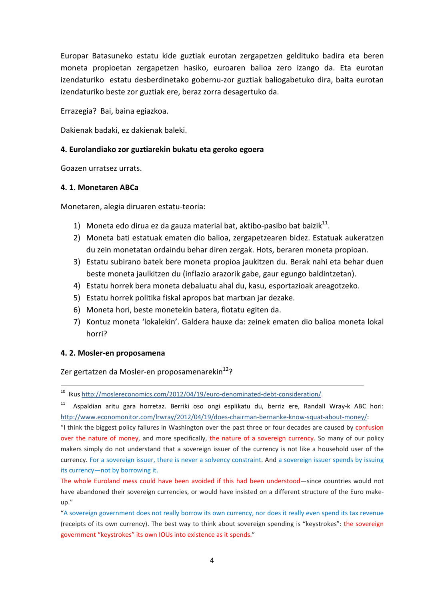Europar Batasuneko estatu kide guztiak eurotan zergapetzen geldituko badira eta beren moneta propioetan zergapetzen hasiko, euroaren balioa zero izango da. Eta eurotan izendaturiko estatu desberdinetako gobernu-zor guztiak baliogabetuko dira, baita eurotan izendaturiko beste zor guztiak ere, beraz zorra desagertuko da.

Errazegia? Bai, baina egiazkoa.

Dakienak badaki, ez dakienak baleki.

## **4. Eurolandiako zor guztiarekin bukatu eta geroko egoera**

Goazen urratsez urrats.

#### **4. 1. Monetaren ABCa**

Monetaren, alegia diruaren estatu-teoria:

- 1) Moneta edo dirua ez da gauza material bat, aktibo-pasibo bat baizik $^{11}$ .
- 2) Moneta bati estatuak ematen dio balioa, zergapetzearen bidez. Estatuak aukeratzen du zein monetatan ordaindu behar diren zergak. Hots, beraren moneta propioan.
- 3) Estatu subirano batek bere moneta propioa jaukitzen du. Berak nahi eta behar duen beste moneta jaulkitzen du (inflazio arazorik gabe, gaur egungo baldintzetan).
- 4) Estatu horrek bera moneta debaluatu ahal du, kasu, esportazioak areagotzeko.
- 5) Estatu horrek politika fiskal apropos bat martxan jar dezake.
- 6) Moneta hori, beste monetekin batera, flotatu egiten da.
- 7) Kontuz moneta 'lokalekin'. Galdera hauxe da: zeinek ematen dio balioa moneta lokal horri?

#### **4. 2. Mosler-en proposamena**

.<br>-

Zer gertatzen da Mosler-en proposamenarekin<sup>12</sup>?

<sup>10</sup> Ikus http://moslereconomics.com/2012/04/19/euro-denominated-debt-consideration/.

Aspaldian aritu gara horretaz. Berriki oso ongi esplikatu du, berriz ere, Randall Wray-k ABC hori: http://www.economonitor.com/lrwray/2012/04/19/does-chairman-bernanke-know-squat-about-money/:

"I think the biggest policy failures in Washington over the past three or four decades are caused by confusion over the nature of money, and more specifically, the nature of a sovereign currency. So many of our policy makers simply do not understand that a sovereign issuer of the currency is not like a household user of the currency. For a sovereign issuer, there is never a solvency constraint. And a sovereign issuer spends by issuing its currency—not by borrowing it.

The whole Euroland mess could have been avoided if this had been understood—since countries would not have abandoned their sovereign currencies, or would have insisted on a different structure of the Euro makeup."

"A sovereign government does not really borrow its own currency, nor does it really even spend its tax revenue (receipts of its own currency). The best way to think about sovereign spending is "keystrokes": the sovereign government "keystrokes" its own IOUs into existence as it spends."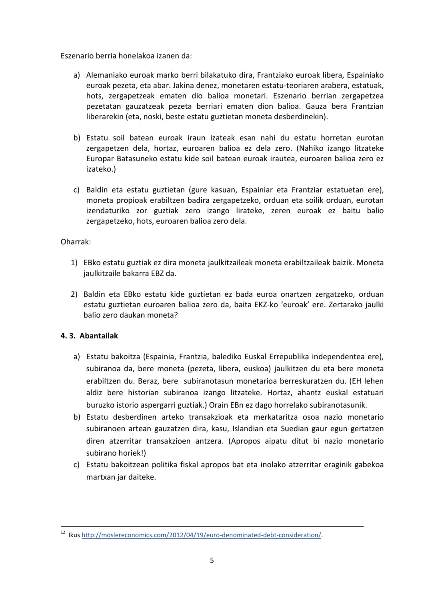Eszenario berria honelakoa izanen da:

- a) Alemaniako euroak marko berri bilakatuko dira, Frantziako euroak libera, Espainiako euroak pezeta, eta abar. Jakina denez, monetaren estatu-teoriaren arabera, estatuak, hots, zergapetzeak ematen dio balioa monetari. Eszenario berrian zergapetzea pezetatan gauzatzeak pezeta berriari ematen dion balioa. Gauza bera Frantzian liberarekin (eta, noski, beste estatu guztietan moneta desberdinekin).
- b) Estatu soil batean euroak iraun izateak esan nahi du estatu horretan eurotan zergapetzen dela, hortaz, euroaren balioa ez dela zero. (Nahiko izango litzateke Europar Batasuneko estatu kide soil batean euroak irautea, euroaren balioa zero ez izateko.)
- c) Baldin eta estatu guztietan (gure kasuan, Espainiar eta Frantziar estatuetan ere), moneta propioak erabiltzen badira zergapetzeko, orduan eta soilik orduan, eurotan izendaturiko zor guztiak zero izango lirateke, zeren euroak ez baitu balio zergapetzeko, hots, euroaren balioa zero dela.

Oharrak:

- 1) EBko estatu guztiak ez dira moneta jaulkitzaileak moneta erabiltzaileak baizik. Moneta jaulkitzaile bakarra EBZ da.
- 2) Baldin eta EBko estatu kide guztietan ez bada euroa onartzen zergatzeko, orduan estatu guztietan euroaren balioa zero da, baita EKZ-ko 'euroak' ere. Zertarako jaulki balio zero daukan moneta?

# **4. 3. Abantailak**

-

- a) Estatu bakoitza (Espainia, Frantzia, balediko Euskal Errepublika independentea ere), subiranoa da, bere moneta (pezeta, libera, euskoa) jaulkitzen du eta bere moneta erabiltzen du. Beraz, bere subiranotasun monetarioa berreskuratzen du. (EH lehen aldiz bere historian subiranoa izango litzateke. Hortaz, ahantz euskal estatuari buruzko istorio aspergarri guztiak.) Orain EBn ez dago horrelako subiranotasunik.
- b) Estatu desberdinen arteko transakzioak eta merkataritza osoa nazio monetario subiranoen artean gauzatzen dira, kasu, Islandian eta Suedian gaur egun gertatzen diren atzerritar transakzioen antzera. (Apropos aipatu ditut bi nazio monetario subirano horiek!)
- c) Estatu bakoitzean politika fiskal apropos bat eta inolako atzerritar eraginik gabekoa martxan jar daiteke.

<sup>&</sup>lt;sup>12</sup> Ikus http://moslereconomics.com/2012/04/19/euro-denominated-debt-consideration/.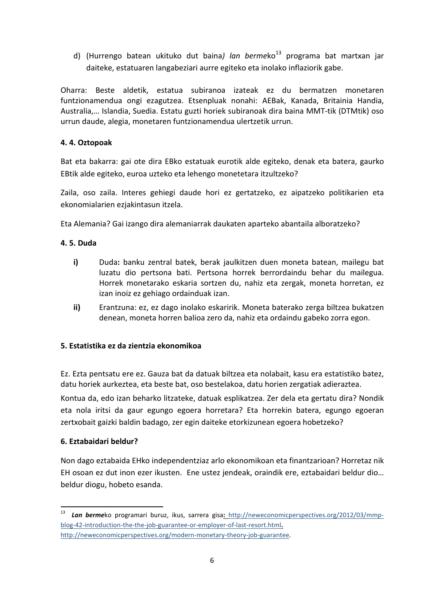d) (Hurrengo batean ukituko dut baina) lan bermeko<sup>13</sup> programa bat martxan jar daiteke, estatuaren langabeziari aurre egiteko eta inolako inflaziorik gabe.

Oharra: Beste aldetik, estatua subiranoa izateak ez du bermatzen monetaren funtzionamendua ongi ezagutzea. Etsenpluak nonahi: AEBak, Kanada, Britainia Handia, Australia,… Islandia, Suedia. Estatu guzti horiek subiranoak dira baina MMT-tik (DTMtik) oso urrun daude, alegia, monetaren funtzionamendua ulertzetik urrun.

# **4. 4. Oztopoak**

Bat eta bakarra: gai ote dira EBko estatuak eurotik alde egiteko, denak eta batera, gaurko EBtik alde egiteko, euroa uzteko eta lehengo monetetara itzultzeko?

Zaila, oso zaila. Interes gehiegi daude hori ez gertatzeko, ez aipatzeko politikarien eta ekonomialarien ezjakintasun itzela.

Eta Alemania? Gai izango dira alemaniarrak daukaten aparteko abantaila alboratzeko?

## **4. 5. Duda**

- **i)** Duda**:** banku zentral batek, berak jaulkitzen duen moneta batean, mailegu bat luzatu dio pertsona bati. Pertsona horrek berrordaindu behar du mailegua. Horrek monetarako eskaria sortzen du, nahiz eta zergak, moneta horretan, ez izan inoiz ez gehiago ordainduak izan.
- **ii)** Erantzuna: ez, ez dago inolako eskaririk. Moneta baterako zerga biltzea bukatzen denean, moneta horren balioa zero da, nahiz eta ordaindu gabeko zorra egon.

#### **5. Estatistika ez da zientzia ekonomikoa**

Ez. Ezta pentsatu ere ez. Gauza bat da datuak biltzea eta nolabait, kasu era estatistiko batez, datu horiek aurkeztea, eta beste bat, oso bestelakoa, datu horien zergatiak adieraztea.

Kontua da, edo izan beharko litzateke, datuak esplikatzea. Zer dela eta gertatu dira? Nondik eta nola iritsi da gaur egungo egoera horretara? Eta horrekin batera, egungo egoeran zertxobait gaizki baldin badago, zer egin daiteke etorkizunean egoera hobetzeko?

#### **6. Eztabaidari beldur?**

l

Non dago eztabaida EHko independentziaz arlo ekonomikoan eta finantzarioan? Horretaz nik EH osoan ez dut inon ezer ikusten. Ene ustez jendeak, oraindik ere, eztabaidari beldur dio… beldur diogu, hobeto esanda.

<sup>13</sup> *Lan berme*ko programari buruz, ikus, sarrera gisa**:** http://neweconomicperspectives.org/2012/03/mmpblog-42-introduction-the-the-job-guarantee-or-employer-of-last-resort.html**.** http://neweconomicperspectives.org/modern-monetary-theory-job-guarantee.